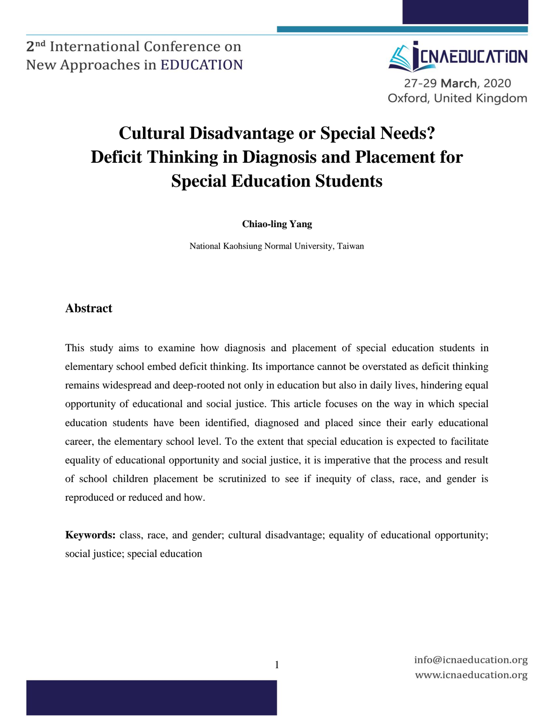

# **Cultural Disadvantage or Special Needs? Deficit Thinking in Diagnosis and Placement for Special Education Students**

**Chiao-ling Yang**

National Kaohsiung Normal University, Taiwan

#### **Abstract**

This study aims to examine how diagnosis and placement of special education students in elementary school embed deficit thinking. Its importance cannot be overstated as deficit thinking remains widespread and deep-rooted not only in education but also in daily lives, hindering equal opportunity of educational and social justice. This article focuses on the way in which special education students have been identified, diagnosed and placed since their early educational career, the elementary school level. To the extent that special education is expected to facilitate equality of educational opportunity and social justice, it is imperative that the process and result of school children placement be scrutinized to see if inequity of class, race, and gender is reproduced or reduced and how.

**Keywords:** class, race, and gender; cultural disadvantage; equality of educational opportunity; social justice; special education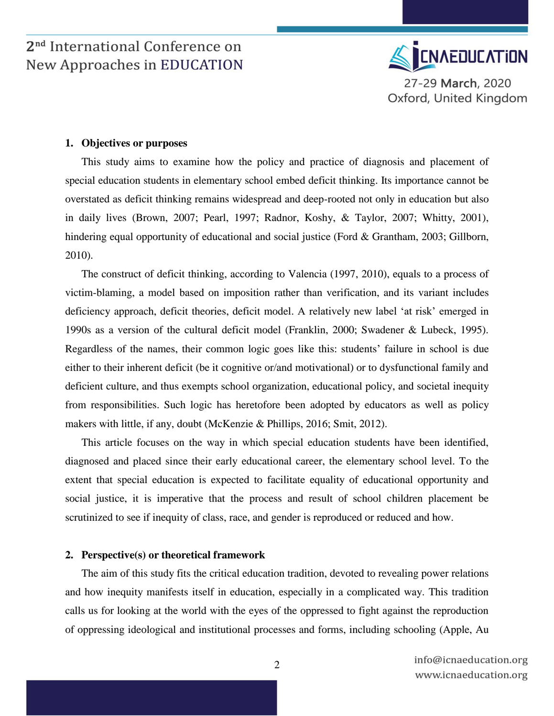

#### **1. Objectives or purposes**

This study aims to examine how the policy and practice of diagnosis and placement of special education students in elementary school embed deficit thinking. Its importance cannot be overstated as deficit thinking remains widespread and deep-rooted not only in education but also in daily lives (Brown, 2007; Pearl, 1997; Radnor, Koshy, & Taylor, 2007; Whitty, 2001), hindering equal opportunity of educational and social justice (Ford & Grantham, 2003; Gillborn, 2010).

The construct of deficit thinking, according to Valencia (1997, 2010), equals to a process of victim-blaming, a model based on imposition rather than verification, and its variant includes deficiency approach, deficit theories, deficit model. A relatively new label 'at risk' emerged in 1990s as a version of the cultural deficit model (Franklin, 2000; Swadener & Lubeck, 1995). Regardless of the names, their common logic goes like this: students' failure in school is due either to their inherent deficit (be it cognitive or/and motivational) or to dysfunctional family and deficient culture, and thus exempts school organization, educational policy, and societal inequity from responsibilities. Such logic has heretofore been adopted by educators as well as policy makers with little, if any, doubt (McKenzie & Phillips, 2016; Smit, 2012).

This article focuses on the way in which special education students have been identified, diagnosed and placed since their early educational career, the elementary school level. To the extent that special education is expected to facilitate equality of educational opportunity and social justice, it is imperative that the process and result of school children placement be scrutinized to see if inequity of class, race, and gender is reproduced or reduced and how.

#### **2. Perspective(s) or theoretical framework**

The aim of this study fits the critical education tradition, devoted to revealing power relations and how inequity manifests itself in education, especially in a complicated way. This tradition calls us for looking at the world with the eyes of the oppressed to fight against the reproduction of oppressing ideological and institutional processes and forms, including schooling (Apple, Au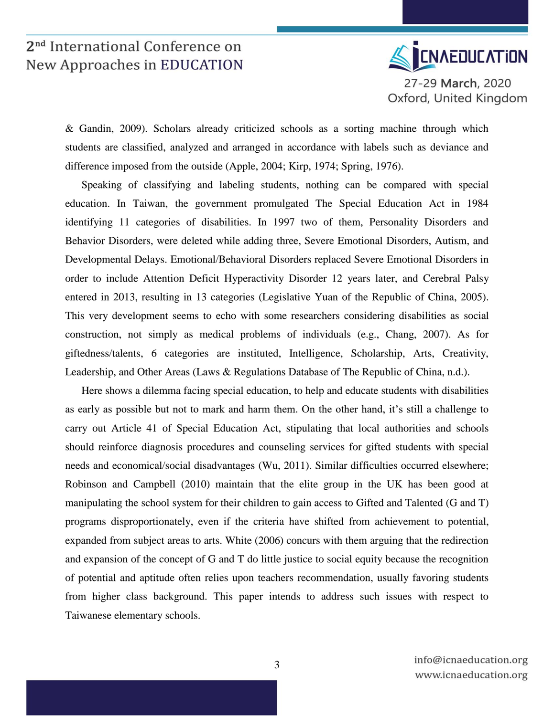

& Gandin, 2009). Scholars already criticized schools as a sorting machine through which students are classified, analyzed and arranged in accordance with labels such as deviance and difference imposed from the outside (Apple, 2004; Kirp, 1974; Spring, 1976).

Speaking of classifying and labeling students, nothing can be compared with special education. In Taiwan, the government promulgated The Special Education Act in 1984 identifying 11 categories of disabilities. In 1997 two of them, Personality Disorders and Behavior Disorders, were deleted while adding three, Severe Emotional Disorders, Autism, and Developmental Delays. Emotional/Behavioral Disorders replaced Severe Emotional Disorders in order to include Attention Deficit Hyperactivity Disorder 12 years later, and Cerebral Palsy entered in 2013, resulting in 13 categories (Legislative Yuan of the Republic of China, 2005). This very development seems to echo with some researchers considering disabilities as social construction, not simply as medical problems of individuals (e.g., Chang, 2007). As for giftedness/talents, 6 categories are instituted, Intelligence, Scholarship, Arts, Creativity, Leadership, and Other Areas (Laws & Regulations Database of The Republic of China, n.d.).

Here shows a dilemma facing special education, to help and educate students with disabilities as early as possible but not to mark and harm them. On the other hand, it's still a challenge to carry out Article 41 of Special Education Act, stipulating that local authorities and schools should reinforce diagnosis procedures and counseling services for gifted students with special needs and economical/social disadvantages (Wu, 2011). Similar difficulties occurred elsewhere; Robinson and Campbell (2010) maintain that the elite group in the UK has been good at manipulating the school system for their children to gain access to Gifted and Talented (G and T) programs disproportionately, even if the criteria have shifted from achievement to potential, expanded from subject areas to arts. White (2006) concurs with them arguing that the redirection and expansion of the concept of G and T do little justice to social equity because the recognition of potential and aptitude often relies upon teachers recommendation, usually favoring students from higher class background. This paper intends to address such issues with respect to Taiwanese elementary schools.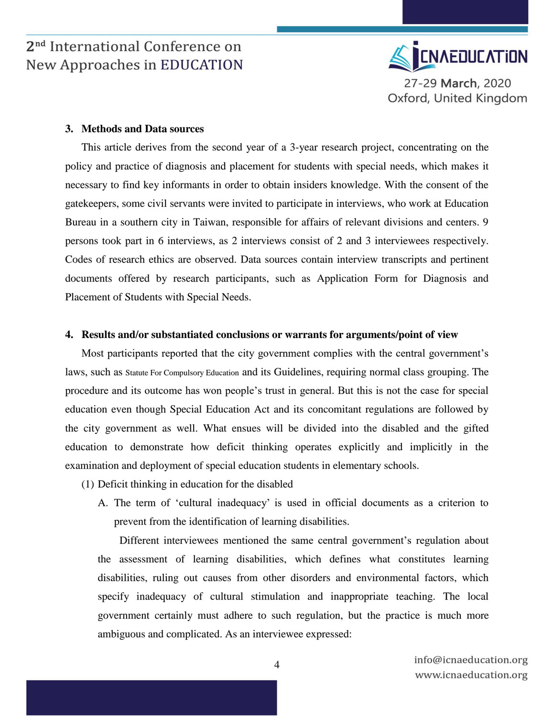

#### **3. Methods and Data sources**

This article derives from the second year of a 3-year research project, concentrating on the policy and practice of diagnosis and placement for students with special needs, which makes it necessary to find key informants in order to obtain insiders knowledge. With the consent of the gatekeepers, some civil servants were invited to participate in interviews, who work at Education Bureau in a southern city in Taiwan, responsible for affairs of relevant divisions and centers. 9 persons took part in 6 interviews, as 2 interviews consist of 2 and 3 interviewees respectively. Codes of research ethics are observed. Data sources contain interview transcripts and pertinent documents offered by research participants, such as Application Form for Diagnosis and Placement of Students with Special Needs.

#### **4. Results and/or substantiated conclusions or warrants for arguments/point of view**

Most participants reported that the city government complies with the central government's laws, such as Statute For Compulsory Education and its Guidelines, requiring normal class grouping. The procedure and its outcome has won people's trust in general. But this is not the case for special education even though Special Education Act and its concomitant regulations are followed by the city government as well. What ensues will be divided into the disabled and the gifted education to demonstrate how deficit thinking operates explicitly and implicitly in the examination and deployment of special education students in elementary schools.

- (1) Deficit thinking in education for the disabled
	- A. The term of 'cultural inadequacy' is used in official documents as a criterion to prevent from the identification of learning disabilities.

Different interviewees mentioned the same central government's regulation about the assessment of learning disabilities, which defines what constitutes learning disabilities, ruling out causes from other disorders and environmental factors, which specify inadequacy of cultural stimulation and inappropriate teaching. The local government certainly must adhere to such regulation, but the practice is much more ambiguous and complicated. As an interviewee expressed: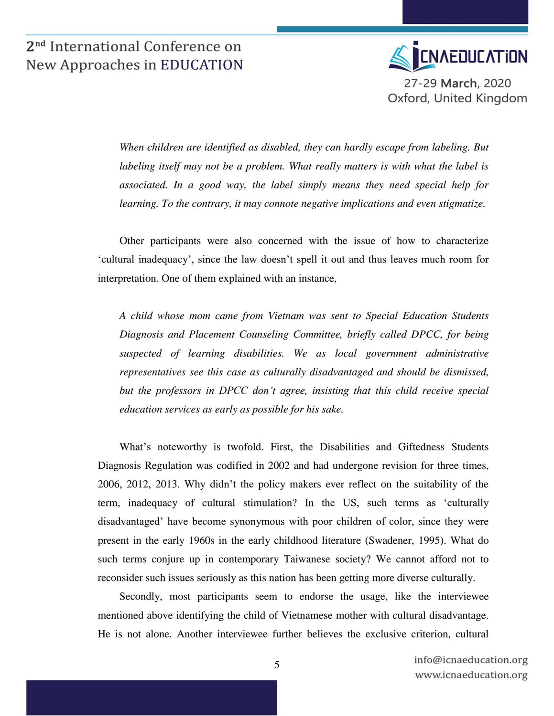

*When children are identified as disabled, they can hardly escape from labeling. But labeling itself may not be a problem. What really matters is with what the label is associated. In a good way, the label simply means they need special help for learning. To the contrary, it may connote negative implications and even stigmatize.* 

Other participants were also concerned with the issue of how to characterize 'cultural inadequacy', since the law doesn't spell it out and thus leaves much room for interpretation. One of them explained with an instance,

*A child whose mom came from Vietnam was sent to Special Education Students Diagnosis and Placement Counseling Committee, briefly called DPCC, for being suspected of learning disabilities. We as local government administrative representatives see this case as culturally disadvantaged and should be dismissed, but the professors in DPCC don't agree, insisting that this child receive special education services as early as possible for his sake.* 

What's noteworthy is twofold. First, the Disabilities and Giftedness Students Diagnosis Regulation was codified in 2002 and had undergone revision for three times, 2006, 2012, 2013. Why didn't the policy makers ever reflect on the suitability of the term, inadequacy of cultural stimulation? In the US, such terms as 'culturally disadvantaged' have become synonymous with poor children of color, since they were present in the early 1960s in the early childhood literature (Swadener, 1995). What do such terms conjure up in contemporary Taiwanese society? We cannot afford not to reconsider such issues seriously as this nation has been getting more diverse culturally.

Secondly, most participants seem to endorse the usage, like the interviewee mentioned above identifying the child of Vietnamese mother with cultural disadvantage. He is not alone. Another interviewee further believes the exclusive criterion, cultural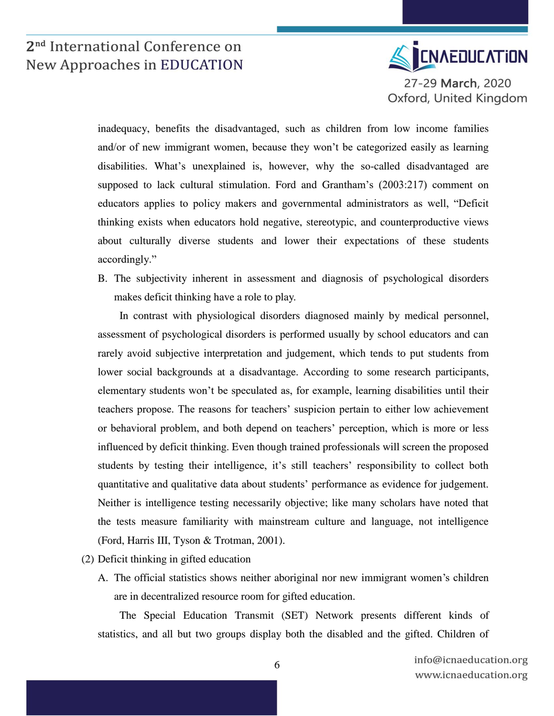

inadequacy, benefits the disadvantaged, such as children from low income families and/or of new immigrant women, because they won't be categorized easily as learning disabilities. What's unexplained is, however, why the so-called disadvantaged are supposed to lack cultural stimulation. Ford and Grantham's (2003:217) comment on educators applies to policy makers and governmental administrators as well, "Deficit thinking exists when educators hold negative, stereotypic, and counterproductive views about culturally diverse students and lower their expectations of these students accordingly."

B. The subjectivity inherent in assessment and diagnosis of psychological disorders makes deficit thinking have a role to play.

In contrast with physiological disorders diagnosed mainly by medical personnel, assessment of psychological disorders is performed usually by school educators and can rarely avoid subjective interpretation and judgement, which tends to put students from lower social backgrounds at a disadvantage. According to some research participants, elementary students won't be speculated as, for example, learning disabilities until their teachers propose. The reasons for teachers' suspicion pertain to either low achievement or behavioral problem, and both depend on teachers' perception, which is more or less influenced by deficit thinking. Even though trained professionals will screen the proposed students by testing their intelligence, it's still teachers' responsibility to collect both quantitative and qualitative data about students' performance as evidence for judgement. Neither is intelligence testing necessarily objective; like many scholars have noted that the tests measure familiarity with mainstream culture and language, not intelligence (Ford, Harris III, Tyson & Trotman, 2001).

- (2) Deficit thinking in gifted education
	- A. The official statistics shows neither aboriginal nor new immigrant women's children are in decentralized resource room for gifted education.

The Special Education Transmit (SET) Network presents different kinds of statistics, and all but two groups display both the disabled and the gifted. Children of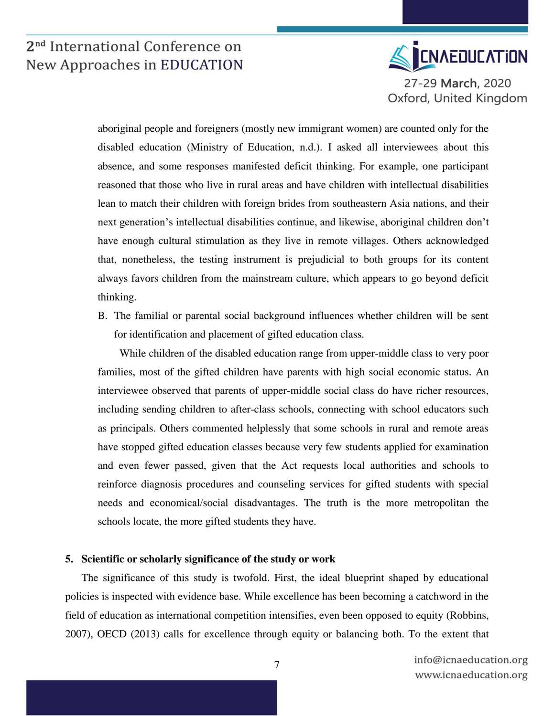

aboriginal people and foreigners (mostly new immigrant women) are counted only for the disabled education (Ministry of Education, n.d.). I asked all interviewees about this absence, and some responses manifested deficit thinking. For example, one participant reasoned that those who live in rural areas and have children with intellectual disabilities lean to match their children with foreign brides from southeastern Asia nations, and their next generation's intellectual disabilities continue, and likewise, aboriginal children don't have enough cultural stimulation as they live in remote villages. Others acknowledged that, nonetheless, the testing instrument is prejudicial to both groups for its content always favors children from the mainstream culture, which appears to go beyond deficit thinking.

B. The familial or parental social background influences whether children will be sent for identification and placement of gifted education class.

While children of the disabled education range from upper-middle class to very poor families, most of the gifted children have parents with high social economic status. An interviewee observed that parents of upper-middle social class do have richer resources, including sending children to after-class schools, connecting with school educators such as principals. Others commented helplessly that some schools in rural and remote areas have stopped gifted education classes because very few students applied for examination and even fewer passed, given that the Act requests local authorities and schools to reinforce diagnosis procedures and counseling services for gifted students with special needs and economical/social disadvantages. The truth is the more metropolitan the schools locate, the more gifted students they have.

#### **5. Scientific or scholarly significance of the study or work**

The significance of this study is twofold. First, the ideal blueprint shaped by educational policies is inspected with evidence base. While excellence has been becoming a catchword in the field of education as international competition intensifies, even been opposed to equity (Robbins, 2007), OECD (2013) calls for excellence through equity or balancing both. To the extent that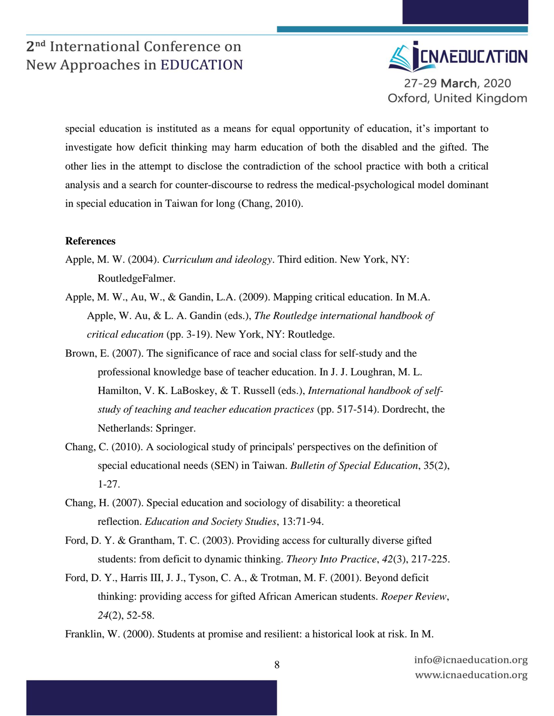

special education is instituted as a means for equal opportunity of education, it's important to investigate how deficit thinking may harm education of both the disabled and the gifted. The other lies in the attempt to disclose the contradiction of the school practice with both a critical analysis and a search for counter-discourse to redress the medical-psychological model dominant in special education in Taiwan for long (Chang, 2010).

#### **References**

- Apple, M. W. (2004). *Curriculum and ideology*. Third edition. New York, NY: RoutledgeFalmer.
- Apple, M. W., Au, W., & Gandin, L.A. (2009). Mapping critical education. In M.A. Apple, W. Au, & L. A. Gandin (eds.), *The Routledge international handbook of critical education* (pp. 3-19). New York, NY: Routledge.
- Brown, E. (2007). The significance of race and social class for self-study and the professional knowledge base of teacher education. In J. J. Loughran, M. L. Hamilton, V. K. LaBoskey, & T. Russell (eds.), *International handbook of selfstudy of teaching and teacher education practices* (pp. 517-514). Dordrecht, the Netherlands: Springer.
- Chang, C. (2010). A sociological study of principals' perspectives on the definition of special educational needs (SEN) in Taiwan. *Bulletin of Special Education*, 35(2), 1-27.
- Chang, H. (2007). Special education and sociology of disability: a theoretical reflection. *Education and Society Studies*, 13:71-94.
- Ford, D. Y. & Grantham, T. C. (2003). Providing access for culturally diverse gifted students: from deficit to dynamic thinking. *Theory Into Practice*, *42*(3), 217-225.
- Ford, D. Y., Harris III, J. J., Tyson, C. A., & Trotman, M. F. (2001). Beyond deficit thinking: providing access for gifted African American students. *Roeper Review*, *24*(2), 52-58.

Franklin, W. (2000). Students at promise and resilient: a historical look at risk. In M.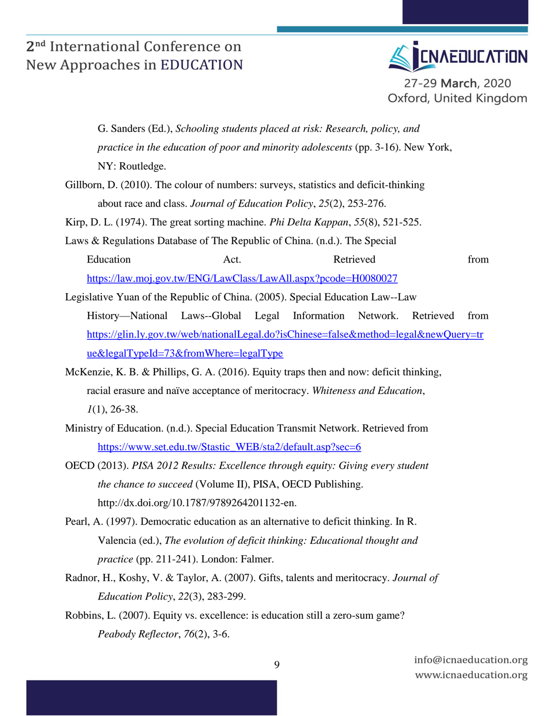

G. Sanders (Ed.), *Schooling students placed at risk: Research, policy, and practice in the education of poor and minority adolescents (pp. 3-16). New York,* NY: Routledge. Gillborn, D. (2010). The colour of numbers: surveys, statistics and deficit-thinking about race and class. *Journal of Education Policy*, *25*(2), 253-276. Kirp, D. L. (1974). The great sorting machine. *Phi Delta Kappan*, *55*(8), 521-525. Laws & Regulations Database of The Republic of China. (n.d.). The Special Education **Act.** Act. Retrieved from <https://law.moj.gov.tw/ENG/LawClass/LawAll.aspx?pcode=H0080027> Legislative Yuan of the Republic of China. (2005). Special Education Law--Law History—National Laws--Global Legal Information Network. Retrieved from [https://glin.ly.gov.tw/web/nationalLegal.do?isChinese=false&method=legal&newQuery=tr](https://glin.ly.gov.tw/web/nationalLegal.do?isChinese=false&method=legal&newQuery=true&legalTypeId=73&fromWhere=legalType) [ue&legalTypeId=73&fromWhere=legalType](https://glin.ly.gov.tw/web/nationalLegal.do?isChinese=false&method=legal&newQuery=true&legalTypeId=73&fromWhere=legalType) McKenzie, K. B. & Phillips, G. A. (2016). Equity traps then and now: deficit thinking,

racial erasure and naïve acceptance of meritocracy. *Whiteness and Education*, *1*(1), 26-38.

- Ministry of Education. (n.d.). Special Education Transmit Network. Retrieved from [https://www.set.edu.tw/Stastic\\_WEB/sta2/default.asp?sec=6](https://www.set.edu.tw/Stastic_WEB/sta2/default.asp?sec=6)
- OECD (2013). *PISA 2012 Results: Excellence through equity: Giving every student the chance to succeed* (Volume II), PISA, OECD Publishing. http://dx.doi.org/10.1787/9789264201132-en.
- Pearl, A. (1997). Democratic education as an alternative to deficit thinking. In R. Valencia (ed.), *The evolution of deficit thinking: Educational thought and practice* (pp. 211-241). London: Falmer.
- Radnor, H., Koshy, V. & Taylor, A. (2007). Gifts, talents and meritocracy. *Journal of Education Policy*, *22*(3), 283-299.
- Robbins, L. (2007). Equity vs. excellence: is education still a zero-sum game? *Peabody Reflector*, *76*(2), 3-6.